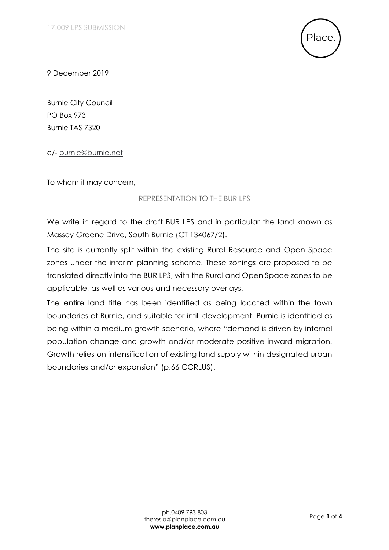

9 December 2019

Burnie City Council PO Box 973 Burnie TAS 7320

c/- [burnie@burnie.net](mailto:burnie@burnie.net?subject=Representation%20for%20draft%20Burnie%20Local%20Provisions%20Schedule%20(BUR%20LPS))

To whom it may concern,

## REPRESENTATION TO THE BUR LPS

We write in regard to the draft BUR LPS and in particular the land known as Massey Greene Drive, South Burnie (CT 134067/2).

The site is currently split within the existing Rural Resource and Open Space zones under the interim planning scheme. These zonings are proposed to be translated directly into the BUR LPS, with the Rural and Open Space zones to be applicable, as well as various and necessary overlays.

The entire land title has been identified as being located within the town boundaries of Burnie, and suitable for infill development. Burnie is identified as being within a medium growth scenario, where "demand is driven by internal population change and growth and/or moderate positive inward migration. Growth relies on intensification of existing land supply within designated urban boundaries and/or expansion" (p.66 CCRLUS).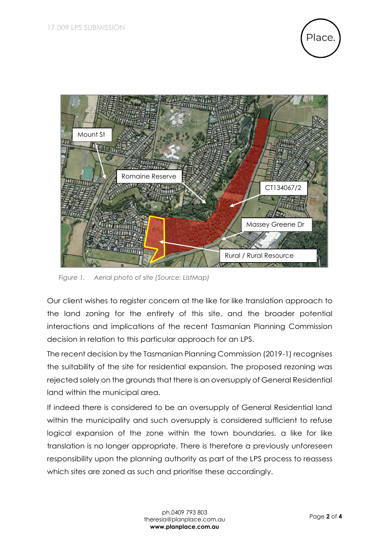



*Figure 1. Aerial photo of site (Source: ListMap)*

Our client wishes to register concern at the like for like translation approach to the land zoning for the entirety of this site, and the broader potential interactions and implications of the recent Tasmanian Planning Commission decision in relation to this particular approach for an LPS.

The recent decision by the Tasmanian Planning Commission (2019-1) recognises the suitability of the site for residential expansion. The proposed rezoning was rejected solely on the grounds that there is an oversupply of General Residential land within the municipal area.

If indeed there is considered to be an oversupply of General Residential land within the municipality and such oversupply is considered sufficient to refuse logical expansion of the zone within the town boundaries, a like for like translation is no longer appropriate. There is therefore a previously unforeseen responsibility upon the planning authority as part of the LPS process to reassess which sites are zoned as such and prioritise these accordingly.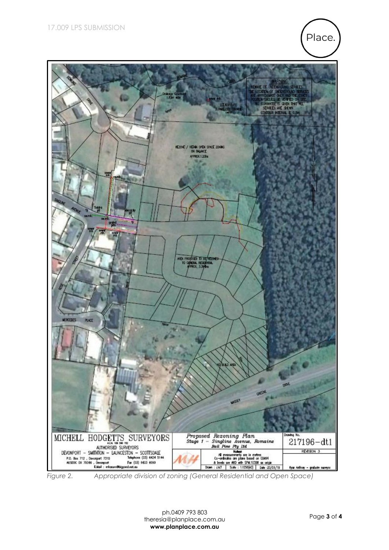



*Figure 2. Appropriate division of zoning (General Residential and Open Space)*